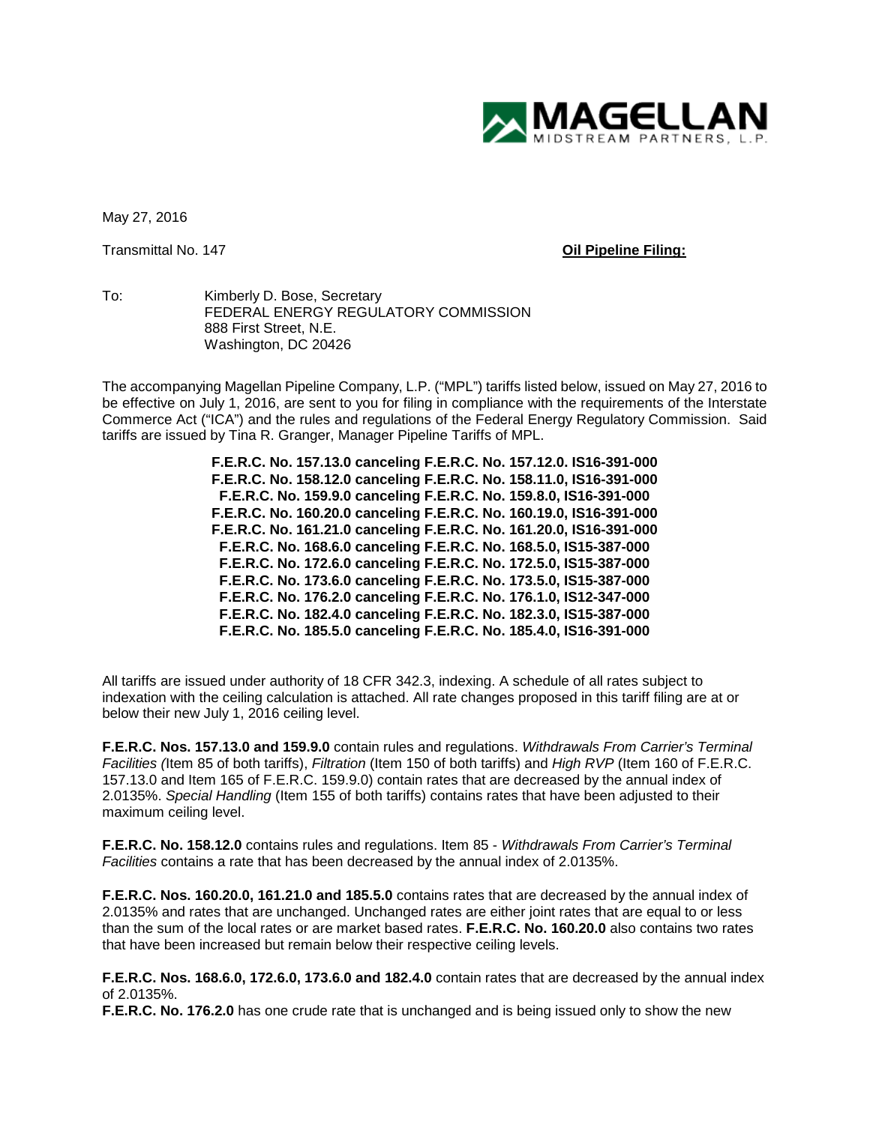

May 27, 2016

## Transmittal No. 147 **Oil Pipeline Filing:**

To: Kimberly D. Bose, Secretary FEDERAL ENERGY REGULATORY COMMISSION 888 First Street, N.E. Washington, DC 20426

The accompanying Magellan Pipeline Company, L.P. ("MPL") tariffs listed below, issued on May 27, 2016 to be effective on July 1, 2016, are sent to you for filing in compliance with the requirements of the Interstate Commerce Act ("ICA") and the rules and regulations of the Federal Energy Regulatory Commission. Said tariffs are issued by Tina R. Granger, Manager Pipeline Tariffs of MPL.

> **F.E.R.C. No. 157.13.0 canceling F.E.R.C. No. 157.12.0. IS16-391-000 F.E.R.C. No. 158.12.0 canceling F.E.R.C. No. 158.11.0, IS16-391-000 F.E.R.C. No. 159.9.0 canceling F.E.R.C. No. 159.8.0, IS16-391-000 F.E.R.C. No. 160.20.0 canceling F.E.R.C. No. 160.19.0, IS16-391-000 F.E.R.C. No. 161.21.0 canceling F.E.R.C. No. 161.20.0, IS16-391-000 F.E.R.C. No. 168.6.0 canceling F.E.R.C. No. 168.5.0, IS15-387-000 F.E.R.C. No. 172.6.0 canceling F.E.R.C. No. 172.5.0, IS15-387-000 F.E.R.C. No. 173.6.0 canceling F.E.R.C. No. 173.5.0, IS15-387-000 F.E.R.C. No. 176.2.0 canceling F.E.R.C. No. 176.1.0, IS12-347-000 F.E.R.C. No. 182.4.0 canceling F.E.R.C. No. 182.3.0, IS15-387-000 F.E.R.C. No. 185.5.0 canceling F.E.R.C. No. 185.4.0, IS16-391-000**

All tariffs are issued under authority of 18 CFR 342.3, indexing. A schedule of all rates subject to indexation with the ceiling calculation is attached. All rate changes proposed in this tariff filing are at or below their new July 1, 2016 ceiling level.

**F.E.R.C. Nos. 157.13.0 and 159.9.0** contain rules and regulations. *Withdrawals From Carrier's Terminal Facilities (*Item 85 of both tariffs), *Filtration* (Item 150 of both tariffs) and *High RVP* (Item 160 of F.E.R.C. 157.13.0 and Item 165 of F.E.R.C. 159.9.0) contain rates that are decreased by the annual index of 2.0135%. *Special Handling* (Item 155 of both tariffs) contains rates that have been adjusted to their maximum ceiling level.

**F.E.R.C. No. 158.12.0** contains rules and regulations. Item 85 - *Withdrawals From Carrier's Terminal Facilities* contains a rate that has been decreased by the annual index of 2.0135%.

**F.E.R.C. Nos. 160.20.0, 161.21.0 and 185.5.0** contains rates that are decreased by the annual index of 2.0135% and rates that are unchanged. Unchanged rates are either joint rates that are equal to or less than the sum of the local rates or are market based rates. **F.E.R.C. No. 160.20.0** also contains two rates that have been increased but remain below their respective ceiling levels.

**F.E.R.C. Nos. 168.6.0, 172.6.0, 173.6.0 and 182.4.0** contain rates that are decreased by the annual index of 2.0135%.

**F.E.R.C. No. 176.2.0** has one crude rate that is unchanged and is being issued only to show the new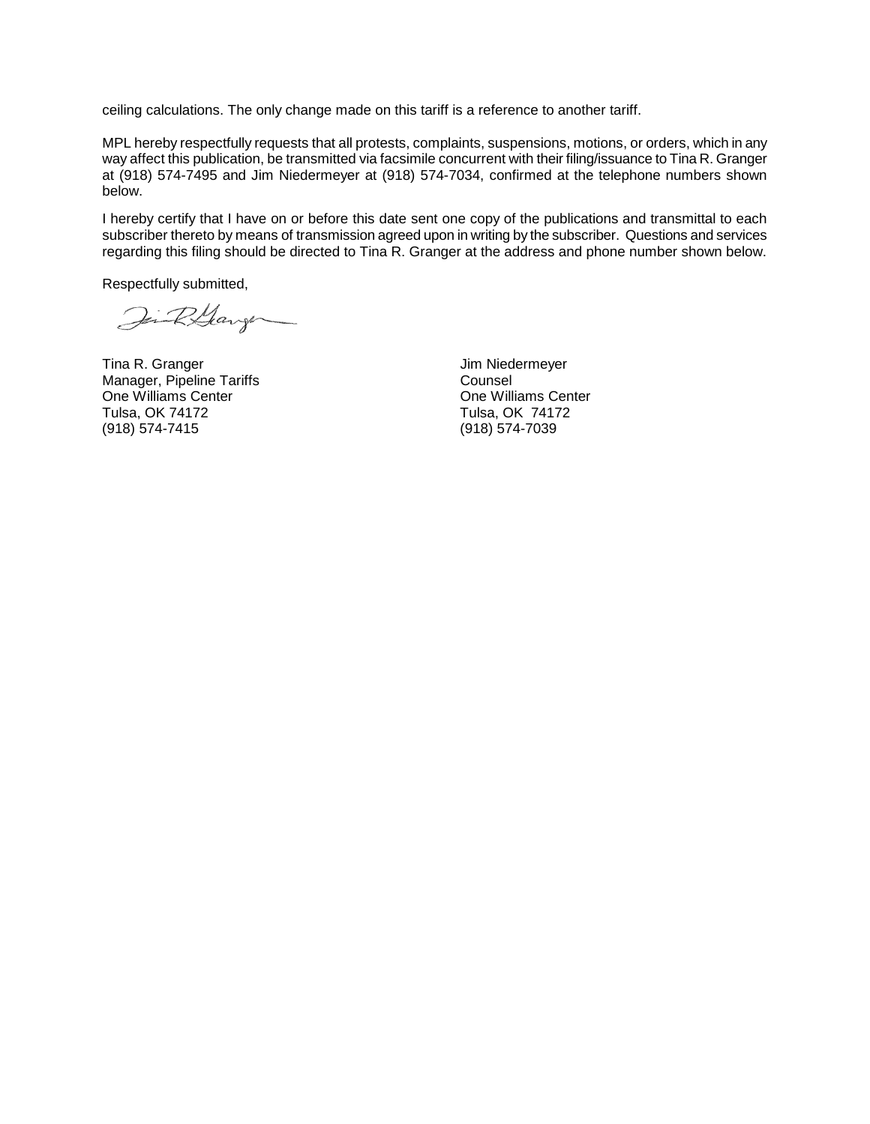ceiling calculations. The only change made on this tariff is a reference to another tariff.

MPL hereby respectfully requests that all protests, complaints, suspensions, motions, or orders, which in any way affect this publication, be transmitted via facsimile concurrent with their filing/issuance to Tina R. Granger at (918) 574-7495 and Jim Niedermeyer at (918) 574-7034, confirmed at the telephone numbers shown below.

I hereby certify that I have on or before this date sent one copy of the publications and transmittal to each subscriber thereto by means of transmission agreed upon in writing by the subscriber. Questions and services regarding this filing should be directed to Tina R. Granger at the address and phone number shown below.

Respectfully submitted,

Jin R.Garge

Tina R. Granger **Jim Niedermeyer** Manager, Pipeline Tariffs<br>
One Williams Center<br>
One Williams Center<br>
Counsel One Williams Center<br>Tulsa, OK 74172 Tulsa, OK 74172 Tulsa, OK 74172

(918) 574-7039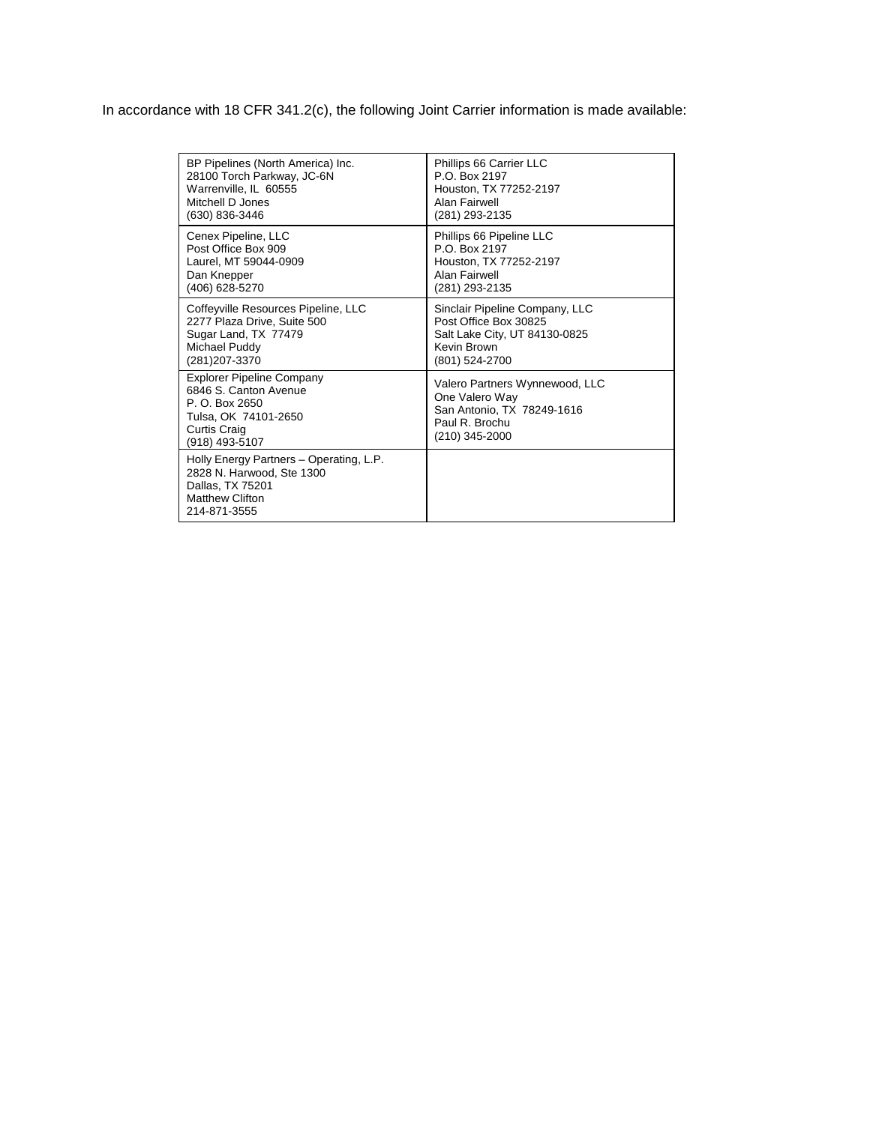In accordance with 18 CFR 341.2(c), the following Joint Carrier information is made available:

| BP Pipelines (North America) Inc.                                                                                                     | Phillips 66 Carrier LLC                                                                                            |
|---------------------------------------------------------------------------------------------------------------------------------------|--------------------------------------------------------------------------------------------------------------------|
| 28100 Torch Parkway, JC-6N                                                                                                            | P.O. Box 2197                                                                                                      |
| Warrenville, IL 60555                                                                                                                 | Houston, TX 77252-2197                                                                                             |
| Mitchell D Jones                                                                                                                      | Alan Fairwell                                                                                                      |
| (630) 836-3446                                                                                                                        | (281) 293-2135                                                                                                     |
| Cenex Pipeline, LLC                                                                                                                   | Phillips 66 Pipeline LLC                                                                                           |
| Post Office Box 909                                                                                                                   | P.O. Box 2197                                                                                                      |
| Laurel, MT 59044-0909                                                                                                                 | Houston, TX 77252-2197                                                                                             |
| Dan Knepper                                                                                                                           | Alan Fairwell                                                                                                      |
| (406) 628-5270                                                                                                                        | (281) 293-2135                                                                                                     |
| Coffeyville Resources Pipeline, LLC                                                                                                   | Sinclair Pipeline Company, LLC                                                                                     |
| 2277 Plaza Drive, Suite 500                                                                                                           | Post Office Box 30825                                                                                              |
| Sugar Land, TX 77479                                                                                                                  | Salt Lake City, UT 84130-0825                                                                                      |
| Michael Puddy                                                                                                                         | Kevin Brown                                                                                                        |
| (281) 207-3370                                                                                                                        | (801) 524-2700                                                                                                     |
| <b>Explorer Pipeline Company</b><br>6846 S. Canton Avenue<br>P. O. Box 2650<br>Tulsa, OK 74101-2650<br>Curtis Craig<br>(918) 493-5107 | Valero Partners Wynnewood, LLC<br>One Valero Way<br>San Antonio, TX 78249-1616<br>Paul R. Brochu<br>(210) 345-2000 |
| Holly Energy Partners - Operating, L.P.<br>2828 N. Harwood, Ste 1300<br>Dallas, TX 75201<br><b>Matthew Clifton</b><br>214-871-3555    |                                                                                                                    |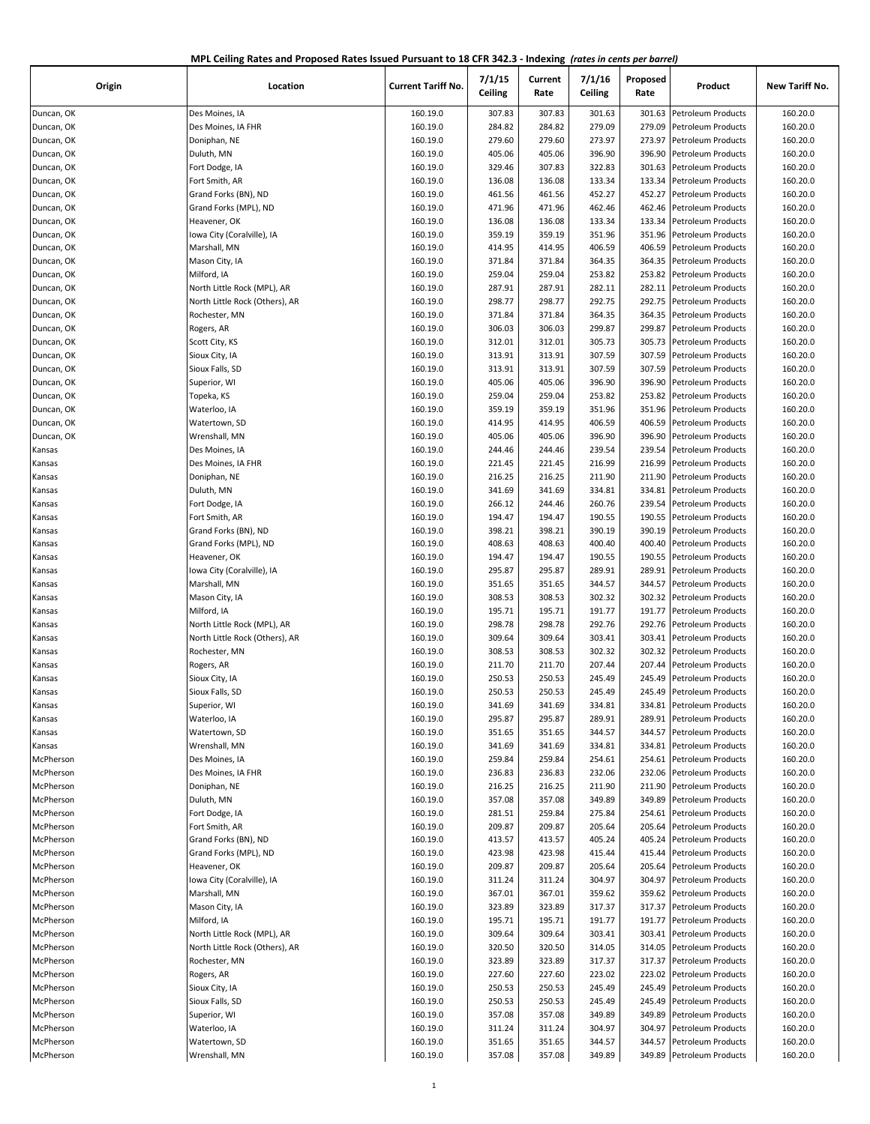| MPL Ceiling Rates and Proposed Rates Issued Pursuant to 18 CFR 342.3 - Indexing (rates in cents per barrel) |  |
|-------------------------------------------------------------------------------------------------------------|--|
|-------------------------------------------------------------------------------------------------------------|--|

| Origin                 | Location                       | <b>Current Tariff No.</b> | 7/1/15<br>Ceiling | Current<br>Rate | 7/1/16<br>Ceiling | Proposed<br>Rate | Product                                  | New Tariff No.       |
|------------------------|--------------------------------|---------------------------|-------------------|-----------------|-------------------|------------------|------------------------------------------|----------------------|
| Duncan, OK             | Des Moines, IA                 | 160.19.0                  | 307.83            | 307.83          | 301.63            | 301.63           | Petroleum Products                       | 160.20.0             |
| Duncan, OK             | Des Moines, IA FHR             | 160.19.0                  | 284.82            | 284.82          | 279.09            | 279.09           | Petroleum Products                       | 160.20.0             |
| Duncan, OK             | Doniphan, NE                   | 160.19.0                  | 279.60            | 279.60          | 273.97            | 273.97           | Petroleum Products                       | 160.20.0             |
| Duncan, OK             | Duluth, MN                     | 160.19.0                  | 405.06            | 405.06          | 396.90            | 396.90           | Petroleum Products                       | 160.20.0             |
| Duncan, OK             | Fort Dodge, IA                 | 160.19.0                  | 329.46            | 307.83          | 322.83            | 301.63           | Petroleum Products                       | 160.20.0             |
| Duncan, OK             | Fort Smith, AR                 | 160.19.0                  | 136.08            | 136.08          | 133.34            | 133.34           | Petroleum Products                       | 160.20.0             |
| Duncan, OK             | Grand Forks (BN), ND           | 160.19.0                  | 461.56            | 461.56          | 452.27            | 452.27           | Petroleum Products                       | 160.20.0             |
| Duncan, OK             | Grand Forks (MPL), ND          | 160.19.0                  | 471.96            | 471.96          | 462.46            | 462.46           | <b>Petroleum Products</b>                | 160.20.0             |
| Duncan, OK             | Heavener, OK                   | 160.19.0                  | 136.08            | 136.08          | 133.34            | 133.34           | Petroleum Products                       | 160.20.0             |
| Duncan, OK             | Iowa City (Coralville), IA     | 160.19.0                  | 359.19            | 359.19          | 351.96            | 351.96           | Petroleum Products                       | 160.20.0             |
| Duncan, OK             | Marshall, MN                   | 160.19.0                  | 414.95            | 414.95          | 406.59            | 406.59           | <b>Petroleum Products</b>                | 160.20.0             |
| Duncan, OK             | Mason City, IA                 | 160.19.0                  | 371.84            | 371.84          | 364.35            | 364.35           | Petroleum Products                       | 160.20.0             |
| Duncan, OK             | Milford, IA                    | 160.19.0                  | 259.04            | 259.04          | 253.82            | 253.82           | Petroleum Products                       | 160.20.0             |
| Duncan, OK             | North Little Rock (MPL), AR    | 160.19.0                  | 287.91            | 287.91          | 282.11            | 282.11           | <b>Petroleum Products</b>                | 160.20.0             |
| Duncan, OK             | North Little Rock (Others), AR | 160.19.0                  | 298.77            | 298.77          | 292.75            | 292.75           | <b>Petroleum Products</b>                | 160.20.0             |
| Duncan, OK             | Rochester, MN                  | 160.19.0                  | 371.84            | 371.84          | 364.35            | 364.35           | Petroleum Products                       | 160.20.0             |
| Duncan, OK             | Rogers, AR                     | 160.19.0                  | 306.03            | 306.03          | 299.87            | 299.87           | Petroleum Products                       | 160.20.0             |
| Duncan, OK             | Scott City, KS                 | 160.19.0                  | 312.01            | 312.01          | 305.73            | 305.73           | <b>Petroleum Products</b>                | 160.20.0             |
| Duncan, OK             | Sioux City, IA                 | 160.19.0                  | 313.91            | 313.91          | 307.59            | 307.59           | Petroleum Products                       | 160.20.0             |
| Duncan, OK             | Sioux Falls, SD                | 160.19.0                  | 313.91            | 313.91          | 307.59            | 307.59           | <b>Petroleum Products</b>                | 160.20.0             |
| Duncan, OK             | Superior, WI                   | 160.19.0                  | 405.06            | 405.06          | 396.90            | 396.90           | Petroleum Products                       | 160.20.0             |
| Duncan, OK             | Topeka, KS                     | 160.19.0                  | 259.04            | 259.04          | 253.82            | 253.82           | <b>Petroleum Products</b>                | 160.20.0             |
| Duncan, OK             | Waterloo, IA                   | 160.19.0                  | 359.19            | 359.19          | 351.96            | 351.96           | Petroleum Products                       | 160.20.0             |
| Duncan, OK             | Watertown, SD                  | 160.19.0                  | 414.95            | 414.95          | 406.59            | 406.59           | <b>Petroleum Products</b>                | 160.20.0             |
| Duncan, OK             | Wrenshall, MN                  | 160.19.0                  | 405.06            | 405.06          | 396.90            | 396.90           | Petroleum Products                       | 160.20.0             |
| Kansas                 | Des Moines, IA                 | 160.19.0                  | 244.46            | 244.46          | 239.54            | 239.54           | Petroleum Products                       | 160.20.0             |
| Kansas                 | Des Moines, IA FHR             | 160.19.0                  | 221.45            | 221.45          | 216.99            | 216.99           | <b>Petroleum Products</b>                | 160.20.0             |
| Kansas                 | Doniphan, NE                   | 160.19.0                  | 216.25            | 216.25          | 211.90            | 211.90           | Petroleum Products                       | 160.20.0             |
| Kansas                 | Duluth, MN                     | 160.19.0                  | 341.69            | 341.69          | 334.81            | 334.81           | Petroleum Products                       | 160.20.0             |
| Kansas                 | Fort Dodge, IA                 | 160.19.0                  | 266.12            | 244.46          | 260.76            | 239.54           | <b>Petroleum Products</b>                | 160.20.0             |
| Kansas                 | Fort Smith, AR                 | 160.19.0                  | 194.47            | 194.47          | 190.55            | 190.55           | Petroleum Products                       | 160.20.0             |
| Kansas                 | Grand Forks (BN), ND           | 160.19.0                  | 398.21            | 398.21          | 390.19            | 390.19           | Petroleum Products                       | 160.20.0             |
| Kansas                 | Grand Forks (MPL), ND          | 160.19.0                  | 408.63            | 408.63          | 400.40            | 400.40           | Petroleum Products                       | 160.20.0             |
| Kansas                 | Heavener, OK                   | 160.19.0                  | 194.47            | 194.47          | 190.55            | 190.55           | Petroleum Products                       | 160.20.0             |
| Kansas                 | Iowa City (Coralville), IA     | 160.19.0                  | 295.87            | 295.87          | 289.91            | 289.91           | Petroleum Products                       | 160.20.0             |
| Kansas                 | Marshall, MN                   | 160.19.0                  | 351.65            | 351.65          | 344.57            | 344.57           | Petroleum Products                       | 160.20.0             |
| Kansas                 | Mason City, IA                 | 160.19.0                  | 308.53            | 308.53          | 302.32            | 302.32           | <b>Petroleum Products</b>                | 160.20.0             |
| Kansas                 | Milford, IA                    | 160.19.0                  | 195.71            | 195.71          | 191.77            | 191.77           | Petroleum Products                       | 160.20.0             |
| Kansas                 | North Little Rock (MPL), AR    | 160.19.0                  | 298.78            | 298.78          | 292.76            | 292.76           | <b>Petroleum Products</b>                | 160.20.0             |
| Kansas                 | North Little Rock (Others), AR | 160.19.0                  | 309.64            | 309.64          | 303.41            | 303.41           | Petroleum Products                       | 160.20.0             |
| Kansas                 | Rochester, MN                  | 160.19.0                  | 308.53            | 308.53          | 302.32            | 302.32           | Petroleum Products                       | 160.20.0             |
| Kansas                 | Rogers, AR                     | 160.19.0                  | 211.70            | 211.70          | 207.44            | 207.44           | <b>Petroleum Products</b>                | 160.20.0             |
| Kansas                 | Sioux City, IA                 | 160.19.0                  | 250.53            | 250.53          | 245.49            | 245.49           | <b>Petroleum Products</b>                | 160.20.0             |
| Kansas                 | Sioux Falls, SD                | 160.19.0                  | 250.53            | 250.53          | 245.49            | 245.49           | <b>Petroleum Products</b>                | 160.20.0             |
| Kansas                 | Superior, WI                   | 160.19.0                  | 341.69            | 341.69          | 334.81            | 334.81           | Petroleum Products                       | 160.20.0             |
| Kansas                 | Waterloo, IA                   | 160.19.0                  | 295.87            | 295.87          | 289.91            | 289.91           | Petroleum Products                       | 160.20.0             |
| Kansas                 | Watertown, SD                  | 160.19.0                  | 351.65            | 351.65          | 344.57            | 344.57           | Petroleum Products                       | 160.20.0             |
| Kansas                 | Wrenshall, MN                  | 160.19.0                  | 341.69            | 341.69          | 334.81            | 334.81           | Petroleum Products                       | 160.20.0             |
| McPherson              | Des Moines, IA                 | 160.19.0                  | 259.84            | 259.84          | 254.61            | 254.61           | Petroleum Products                       | 160.20.0             |
| McPherson              | Des Moines, IA FHR             | 160.19.0                  | 236.83            | 236.83          | 232.06            | 232.06           | Petroleum Products                       | 160.20.0             |
| McPherson              | Doniphan, NE                   | 160.19.0                  | 216.25            | 216.25          | 211.90            | 211.90           | Petroleum Products                       | 160.20.0             |
| McPherson              | Duluth, MN                     | 160.19.0                  | 357.08            | 357.08          | 349.89            | 349.89           | Petroleum Products                       | 160.20.0             |
| McPherson              | Fort Dodge, IA                 | 160.19.0                  | 281.51            | 259.84          | 275.84            | 254.61           | Petroleum Products                       | 160.20.0             |
| McPherson              | Fort Smith, AR                 | 160.19.0                  | 209.87            | 209.87          | 205.64            | 205.64           | Petroleum Products                       | 160.20.0             |
| McPherson              | Grand Forks (BN), ND           | 160.19.0                  | 413.57            | 413.57          | 405.24            | 405.24           | Petroleum Products                       | 160.20.0             |
| McPherson              | Grand Forks (MPL), ND          | 160.19.0                  | 423.98            | 423.98          | 415.44            | 415.44           | Petroleum Products                       | 160.20.0             |
| McPherson              | Heavener, OK                   | 160.19.0                  | 209.87            | 209.87          | 205.64            | 205.64           | Petroleum Products                       | 160.20.0             |
| McPherson              | Iowa City (Coralville), IA     | 160.19.0                  | 311.24            | 311.24          | 304.97            | 304.97           | Petroleum Products                       | 160.20.0             |
| McPherson              | Marshall, MN                   | 160.19.0                  | 367.01            | 367.01          | 359.62            | 359.62           | Petroleum Products                       | 160.20.0             |
|                        |                                | 160.19.0                  | 323.89            | 323.89          |                   | 317.37           |                                          |                      |
| McPherson<br>McPherson | Mason City, IA<br>Milford, IA  | 160.19.0                  | 195.71            | 195.71          | 317.37<br>191.77  | 191.77           | Petroleum Products<br>Petroleum Products | 160.20.0<br>160.20.0 |
|                        |                                |                           |                   |                 |                   |                  |                                          |                      |
| McPherson              | North Little Rock (MPL), AR    | 160.19.0                  | 309.64<br>320.50  | 309.64          | 303.41            | 303.41           | Petroleum Products                       | 160.20.0             |
| McPherson              | North Little Rock (Others), AR | 160.19.0                  |                   | 320.50          | 314.05            | 314.05           | Petroleum Products                       | 160.20.0             |
| McPherson              | Rochester, MN                  | 160.19.0                  | 323.89            | 323.89          | 317.37            | 317.37           | Petroleum Products                       | 160.20.0             |
| McPherson              | Rogers, AR                     | 160.19.0                  | 227.60            | 227.60          | 223.02            | 223.02           | Petroleum Products                       | 160.20.0             |
| McPherson              | Sioux City, IA                 | 160.19.0                  | 250.53            | 250.53          | 245.49            | 245.49           | Petroleum Products                       | 160.20.0             |
| McPherson              | Sioux Falls, SD                | 160.19.0                  | 250.53            | 250.53          | 245.49            | 245.49           | Petroleum Products                       | 160.20.0             |
| McPherson              | Superior, WI                   | 160.19.0                  | 357.08            | 357.08          | 349.89            | 349.89           | Petroleum Products                       | 160.20.0             |
| McPherson              | Waterloo, IA                   | 160.19.0                  | 311.24            | 311.24          | 304.97            | 304.97           | Petroleum Products                       | 160.20.0             |
| McPherson              | Watertown, SD                  | 160.19.0                  | 351.65            | 351.65          | 344.57            | 344.57           | Petroleum Products                       | 160.20.0             |
| McPherson              | Wrenshall, MN                  | 160.19.0                  | 357.08            | 357.08          | 349.89            | 349.89           | Petroleum Products                       | 160.20.0             |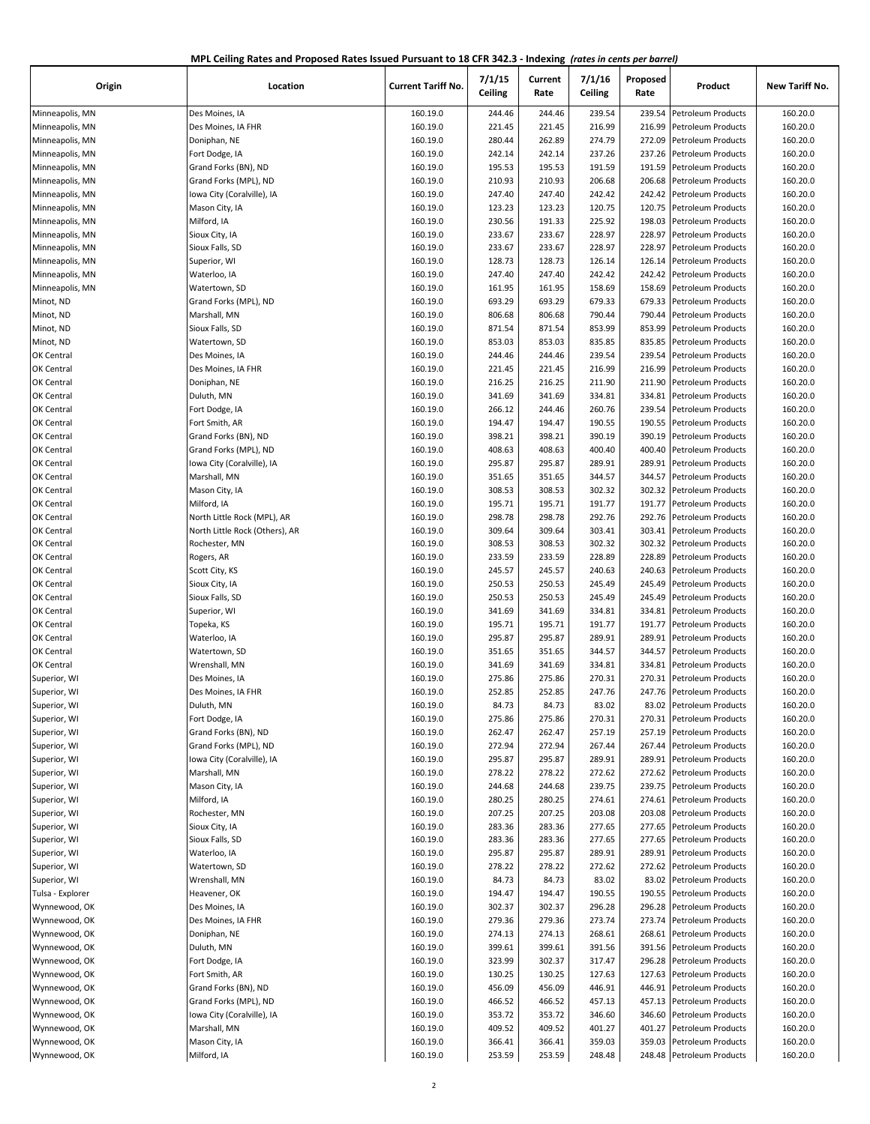| MPL Ceiling Rates and Proposed Rates Issued Pursuant to 18 CFR 342.3 - Indexing (rates in cents per barrel) |  |
|-------------------------------------------------------------------------------------------------------------|--|
|-------------------------------------------------------------------------------------------------------------|--|

| Origin                       | Location                       | <b>Current Tariff No.</b> | 7/1/15<br>Ceiling | Current<br>Rate  | 7/1/16<br>Ceiling | Proposed<br>Rate | Product                                         | New Tariff No.       |
|------------------------------|--------------------------------|---------------------------|-------------------|------------------|-------------------|------------------|-------------------------------------------------|----------------------|
| Minneapolis, MN              | Des Moines, IA                 | 160.19.0                  | 244.46            | 244.46           | 239.54            | 239.54           | Petroleum Products                              | 160.20.0             |
| Minneapolis, MN              | Des Moines, IA FHR             | 160.19.0                  | 221.45            | 221.45           | 216.99            | 216.99           | Petroleum Products                              | 160.20.0             |
| Minneapolis, MN              | Doniphan, NE                   | 160.19.0                  | 280.44            | 262.89           | 274.79            | 272.09           | Petroleum Products                              | 160.20.0             |
| Minneapolis, MN              | Fort Dodge, IA                 | 160.19.0                  | 242.14            | 242.14           | 237.26            | 237.26           | Petroleum Products                              | 160.20.0             |
| Minneapolis, MN              | Grand Forks (BN), ND           | 160.19.0                  | 195.53            | 195.53           | 191.59            | 191.59           | Petroleum Products                              | 160.20.0             |
| Minneapolis, MN              | Grand Forks (MPL), ND          | 160.19.0                  | 210.93            | 210.93           | 206.68            | 206.68           | Petroleum Products                              | 160.20.0             |
| Minneapolis, MN              | Iowa City (Coralville), IA     | 160.19.0                  | 247.40            | 247.40           | 242.42            | 242.42           | Petroleum Products                              | 160.20.0             |
| Minneapolis, MN              | Mason City, IA                 | 160.19.0                  | 123.23            | 123.23           | 120.75            | 120.75           | Petroleum Products                              | 160.20.0             |
| Minneapolis, MN              | Milford, IA                    | 160.19.0                  | 230.56            | 191.33           | 225.92            | 198.03           | Petroleum Products                              | 160.20.0             |
| Minneapolis, MN              | Sioux City, IA                 | 160.19.0                  | 233.67            | 233.67           | 228.97            | 228.97           | Petroleum Products                              | 160.20.0             |
| Minneapolis, MN              | Sioux Falls, SD                | 160.19.0                  | 233.67            | 233.67           | 228.97            | 228.97           | <b>Petroleum Products</b>                       | 160.20.0             |
| Minneapolis, MN              | Superior, WI                   | 160.19.0                  | 128.73            | 128.73           | 126.14            | 126.14           | Petroleum Products                              | 160.20.0             |
| Minneapolis, MN              | Waterloo, IA                   | 160.19.0                  | 247.40            | 247.40           | 242.42            | 242.42           | Petroleum Products                              | 160.20.0             |
| Minneapolis, MN              | Watertown, SD                  | 160.19.0                  | 161.95            | 161.95           | 158.69            | 158.69           | Petroleum Products                              | 160.20.0             |
| Minot, ND                    | Grand Forks (MPL), ND          | 160.19.0                  | 693.29            | 693.29           | 679.33            | 679.33           | Petroleum Products                              | 160.20.0             |
| Minot, ND                    | Marshall, MN                   | 160.19.0                  | 806.68            | 806.68           | 790.44            | 790.44           | Petroleum Products                              | 160.20.0             |
| Minot, ND                    | Sioux Falls, SD                | 160.19.0                  | 871.54            | 871.54           | 853.99            | 853.99           | Petroleum Products                              | 160.20.0             |
| Minot, ND                    | Watertown, SD                  | 160.19.0                  | 853.03            | 853.03           | 835.85            | 835.85           | Petroleum Products                              | 160.20.0             |
| OK Central                   | Des Moines, IA                 | 160.19.0                  | 244.46            | 244.46           | 239.54            | 239.54           | Petroleum Products                              | 160.20.0             |
| OK Central                   | Des Moines, IA FHR             | 160.19.0                  | 221.45            | 221.45           | 216.99            | 216.99           | Petroleum Products                              | 160.20.0             |
| OK Central                   | Doniphan, NE                   | 160.19.0                  | 216.25            | 216.25           | 211.90            | 211.90           | Petroleum Products                              | 160.20.0             |
| OK Central                   | Duluth, MN                     | 160.19.0                  | 341.69            | 341.69           | 334.81            | 334.81           | Petroleum Products                              | 160.20.0             |
| OK Central                   | Fort Dodge, IA                 | 160.19.0                  | 266.12            | 244.46           | 260.76            | 239.54           | <b>Petroleum Products</b>                       | 160.20.0             |
| OK Central                   | Fort Smith, AR                 | 160.19.0                  | 194.47            | 194.47           | 190.55            | 190.55           | Petroleum Products                              | 160.20.0             |
| OK Central                   | Grand Forks (BN), ND           | 160.19.0                  | 398.21            | 398.21           | 390.19            | 390.19           | <b>Petroleum Products</b>                       | 160.20.0             |
| OK Central                   | Grand Forks (MPL), ND          | 160.19.0                  | 408.63            | 408.63           | 400.40            | 400.40           | Petroleum Products                              | 160.20.0             |
| OK Central                   | Iowa City (Coralville), IA     | 160.19.0                  | 295.87            | 295.87           | 289.91            | 289.91           | Petroleum Products                              | 160.20.0             |
| OK Central                   | Marshall, MN                   | 160.19.0                  | 351.65            | 351.65           | 344.57            | 344.57           | <b>Petroleum Products</b>                       | 160.20.0             |
| OK Central                   | Mason City, IA                 | 160.19.0                  | 308.53            | 308.53           | 302.32            | 302.32           | Petroleum Products                              | 160.20.0             |
| OK Central                   | Milford, IA                    | 160.19.0                  | 195.71            | 195.71           | 191.77            | 191.77           | Petroleum Products                              | 160.20.0             |
| OK Central                   | North Little Rock (MPL), AR    | 160.19.0                  | 298.78            | 298.78           | 292.76            | 292.76           | Petroleum Products                              | 160.20.0             |
| OK Central                   | North Little Rock (Others), AR | 160.19.0                  | 309.64            | 309.64           | 303.41            | 303.41           | Petroleum Products                              | 160.20.0             |
| OK Central                   | Rochester, MN                  | 160.19.0                  | 308.53            | 308.53           | 302.32            | 302.32           | Petroleum Products                              | 160.20.0             |
| OK Central                   | Rogers, AR                     | 160.19.0                  | 233.59            | 233.59           | 228.89            | 228.89           | <b>Petroleum Products</b>                       | 160.20.0             |
| OK Central                   | Scott City, KS                 | 160.19.0                  | 245.57            | 245.57           | 240.63            | 240.63           | <b>Petroleum Products</b>                       | 160.20.0             |
| OK Central                   | Sioux City, IA                 | 160.19.0                  | 250.53            | 250.53           | 245.49            | 245.49           | Petroleum Products                              | 160.20.0             |
| OK Central                   | Sioux Falls, SD                | 160.19.0                  | 250.53            | 250.53           | 245.49            | 245.49           | Petroleum Products                              | 160.20.0             |
| OK Central                   | Superior, WI                   | 160.19.0                  | 341.69            | 341.69           | 334.81            | 334.81           | <b>Petroleum Products</b>                       | 160.20.0             |
| OK Central                   | Topeka, KS                     | 160.19.0                  | 195.71            | 195.71           | 191.77            | 191.77           | <b>Petroleum Products</b>                       | 160.20.0             |
| OK Central                   | Waterloo, IA                   | 160.19.0                  | 295.87            | 295.87           | 289.91            | 289.91           | <b>Petroleum Products</b>                       | 160.20.0             |
| OK Central                   | Watertown, SD                  | 160.19.0                  | 351.65            | 351.65           | 344.57            | 344.57           | Petroleum Products                              | 160.20.0             |
| OK Central                   | Wrenshall, MN                  | 160.19.0                  | 341.69            | 341.69           | 334.81            | 334.81           | Petroleum Products                              | 160.20.0             |
| Superior, WI                 | Des Moines, IA                 | 160.19.0                  | 275.86            | 275.86           | 270.31            | 270.31           | Petroleum Products                              | 160.20.0             |
| Superior, WI                 | Des Moines, IA FHR             | 160.19.0                  | 252.85            | 252.85           | 247.76            |                  | 247.76 Petroleum Products                       | 160.20.0             |
| Superior, WI                 | Duluth, MN                     | 160.19.0                  | 84.73             | 84.73            | 83.02             | 83.02            | Petroleum Products                              | 160.20.0             |
| Superior, WI                 | Fort Dodge, IA                 | 160.19.0                  | 275.86            | 275.86           | 270.31            | 270.31           | <b>Petroleum Products</b>                       | 160.20.0             |
| Superior, WI                 | Grand Forks (BN), ND           | 160.19.0                  | 262.47            | 262.47           | 257.19            | 257.19           | Petroleum Products                              | 160.20.0             |
| Superior, WI                 | Grand Forks (MPL), ND          | 160.19.0                  | 272.94            | 272.94           | 267.44            | 267.44           | Petroleum Products                              | 160.20.0             |
| Superior, WI                 | lowa City (Coralville), IA     | 160.19.0                  | 295.87            | 295.87           | 289.91            | 289.91           | Petroleum Products                              | 160.20.0             |
| Superior, WI                 | Marshall, MN                   | 160.19.0                  | 278.22            | 278.22           | 272.62            | 272.62           | Petroleum Products                              | 160.20.0             |
| Superior, WI                 | Mason City, IA                 | 160.19.0                  | 244.68            | 244.68           | 239.75            | 239.75           | Petroleum Products                              | 160.20.0             |
| Superior, WI                 | Milford, IA                    | 160.19.0                  | 280.25            | 280.25           | 274.61            | 274.61           | Petroleum Products                              | 160.20.0             |
| Superior, WI                 | Rochester, MN                  | 160.19.0                  | 207.25            | 207.25           | 203.08            | 203.08           | Petroleum Products                              | 160.20.0             |
| Superior, WI                 | Sioux City, IA                 | 160.19.0                  | 283.36            | 283.36           | 277.65            | 277.65           | <b>Petroleum Products</b>                       | 160.20.0             |
|                              | Sioux Falls, SD                |                           |                   |                  |                   |                  |                                                 |                      |
| Superior, WI                 |                                | 160.19.0                  | 283.36            | 283.36           | 277.65            | 277.65           | Petroleum Products                              | 160.20.0             |
| Superior, WI<br>Superior, WI | Waterloo, IA<br>Watertown, SD  | 160.19.0<br>160.19.0      | 295.87<br>278.22  | 295.87<br>278.22 | 289.91<br>272.62  | 289.91<br>272.62 | Petroleum Products<br><b>Petroleum Products</b> | 160.20.0<br>160.20.0 |
|                              | Wrenshall, MN                  |                           |                   |                  |                   |                  |                                                 |                      |
| Superior, WI                 |                                | 160.19.0                  | 84.73             | 84.73            | 83.02             | 83.02<br>190.55  | Petroleum Products<br>Petroleum Products        | 160.20.0             |
| Tulsa - Explorer             | Heavener, OK                   | 160.19.0                  | 194.47            | 194.47           | 190.55            |                  |                                                 | 160.20.0             |
| Wynnewood, OK                | Des Moines, IA                 | 160.19.0                  | 302.37            | 302.37           | 296.28            | 296.28           | Petroleum Products                              | 160.20.0             |
| Wynnewood, OK                | Des Moines, IA FHR             | 160.19.0                  | 279.36            | 279.36           | 273.74            | 273.74           | Petroleum Products                              | 160.20.0             |
| Wynnewood, OK                | Doniphan, NE                   | 160.19.0                  | 274.13            | 274.13           | 268.61            | 268.61           | Petroleum Products                              | 160.20.0             |
| Wynnewood, OK                | Duluth, MN                     | 160.19.0                  | 399.61            | 399.61           | 391.56            | 391.56           | Petroleum Products                              | 160.20.0             |
| Wynnewood, OK                | Fort Dodge, IA                 | 160.19.0                  | 323.99            | 302.37           | 317.47            | 296.28           | Petroleum Products                              | 160.20.0             |
| Wynnewood, OK                | Fort Smith, AR                 | 160.19.0                  | 130.25            | 130.25           | 127.63            | 127.63           | Petroleum Products                              | 160.20.0             |
| Wynnewood, OK                | Grand Forks (BN), ND           | 160.19.0                  | 456.09            | 456.09           | 446.91            | 446.91           | Petroleum Products                              | 160.20.0             |
| Wynnewood, OK                | Grand Forks (MPL), ND          | 160.19.0                  | 466.52            | 466.52           | 457.13            | 457.13           | Petroleum Products                              | 160.20.0             |
| Wynnewood, OK                | Iowa City (Coralville), IA     | 160.19.0                  | 353.72            | 353.72           | 346.60            | 346.60           | Petroleum Products                              | 160.20.0             |
| Wynnewood, OK                | Marshall, MN                   | 160.19.0                  | 409.52            | 409.52           | 401.27            | 401.27           | Petroleum Products                              | 160.20.0             |
| Wynnewood, OK                | Mason City, IA                 | 160.19.0                  | 366.41            | 366.41           | 359.03            | 359.03           | <b>Petroleum Products</b>                       | 160.20.0             |
| Wynnewood, OK                | Milford, IA                    | 160.19.0                  | 253.59            | 253.59           | 248.48            | 248.48           | Petroleum Products                              | 160.20.0             |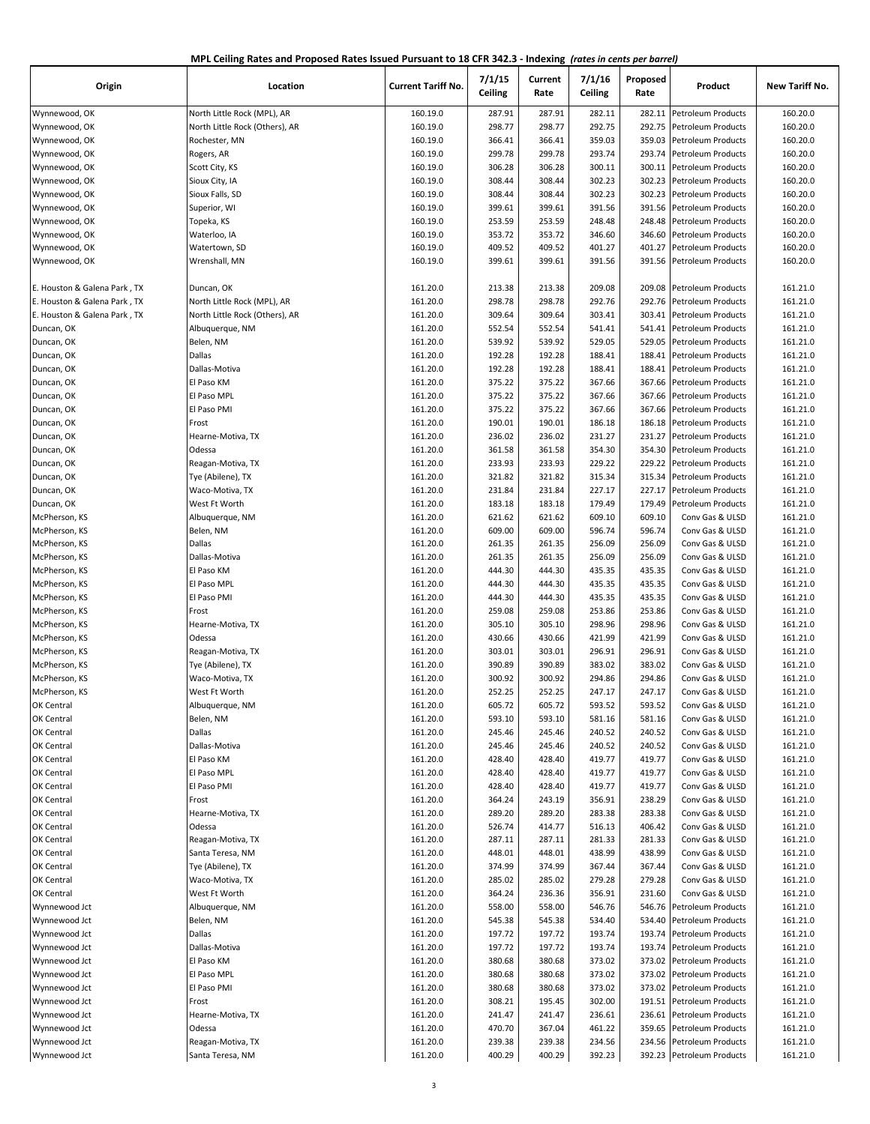| MPL Ceiling Rates and Proposed Rates Issued Pursuant to 18 CFR 342.3 - Indexing (rates in cents per barrel) |  |
|-------------------------------------------------------------------------------------------------------------|--|
|-------------------------------------------------------------------------------------------------------------|--|

| Origin                       | Location                       | <b>Current Tariff No.</b> | 7/1/15<br>Ceiling | Current<br>Rate | 7/1/16<br>Ceiling | Proposed<br>Rate | Product                   | New Tariff No. |
|------------------------------|--------------------------------|---------------------------|-------------------|-----------------|-------------------|------------------|---------------------------|----------------|
| Wynnewood, OK                | North Little Rock (MPL), AR    | 160.19.0                  | 287.91            | 287.91          | 282.11            |                  | 282.11 Petroleum Products | 160.20.0       |
| Wynnewood, OK                | North Little Rock (Others), AR | 160.19.0                  | 298.77            | 298.77          | 292.75            | 292.75           | Petroleum Products        | 160.20.0       |
| Wynnewood, OK                | Rochester, MN                  | 160.19.0                  | 366.41            | 366.41          | 359.03            | 359.03           | <b>Petroleum Products</b> | 160.20.0       |
| Wynnewood, OK                | Rogers, AR                     | 160.19.0                  | 299.78            | 299.78          | 293.74            | 293.74           | Petroleum Products        | 160.20.0       |
| Wynnewood, OK                | Scott City, KS                 | 160.19.0                  | 306.28            | 306.28          | 300.11            | 300.11           | Petroleum Products        | 160.20.0       |
| Wynnewood, OK                | Sioux City, IA                 | 160.19.0                  | 308.44            | 308.44          | 302.23            | 302.23           | <b>Petroleum Products</b> | 160.20.0       |
| Wynnewood, OK                | Sioux Falls, SD                | 160.19.0                  | 308.44            | 308.44          | 302.23            | 302.23           | Petroleum Products        | 160.20.0       |
| Wynnewood, OK                | Superior, WI                   | 160.19.0                  | 399.61            | 399.61          | 391.56            | 391.56           | <b>Petroleum Products</b> | 160.20.0       |
| Wynnewood, OK                | Topeka, KS                     | 160.19.0                  | 253.59            | 253.59          | 248.48            | 248.48           | <b>Petroleum Products</b> | 160.20.0       |
| Wynnewood, OK                | Waterloo, IA                   | 160.19.0                  | 353.72            | 353.72          | 346.60            | 346.60           | Petroleum Products        | 160.20.0       |
| Wynnewood, OK                | Watertown, SD                  | 160.19.0                  | 409.52            | 409.52          | 401.27            | 401.27           | Petroleum Products        | 160.20.0       |
| Wynnewood, OK                | Wrenshall, MN                  | 160.19.0                  | 399.61            | 399.61          | 391.56            | 391.56           | Petroleum Products        | 160.20.0       |
| E. Houston & Galena Park, TX | Duncan, OK                     | 161.20.0                  | 213.38            | 213.38          | 209.08            | 209.08           | <b>Petroleum Products</b> | 161.21.0       |
| E. Houston & Galena Park, TX | North Little Rock (MPL), AR    | 161.20.0                  | 298.78            | 298.78          | 292.76            | 292.76           | Petroleum Products        | 161.21.0       |
| E. Houston & Galena Park, TX | North Little Rock (Others), AR | 161.20.0                  | 309.64            | 309.64          | 303.41            | 303.41           | Petroleum Products        | 161.21.0       |
| Duncan, OK                   | Albuquerque, NM                | 161.20.0                  | 552.54            | 552.54          | 541.41            | 541.41           | Petroleum Products        | 161.21.0       |
| Duncan, OK                   | Belen, NM                      | 161.20.0                  | 539.92            | 539.92          | 529.05            | 529.05           | <b>Petroleum Products</b> | 161.21.0       |
| Duncan, OK                   | <b>Dallas</b>                  | 161.20.0                  | 192.28            | 192.28          | 188.41            | 188.41           | Petroleum Products        | 161.21.0       |
| Duncan, OK                   | Dallas-Motiva                  | 161.20.0                  | 192.28            | 192.28          | 188.41            | 188.41           | Petroleum Products        | 161.21.0       |
| Duncan, OK                   | El Paso KM                     | 161.20.0                  | 375.22            | 375.22          | 367.66            | 367.66           | <b>Petroleum Products</b> | 161.21.0       |
| Duncan, OK                   | El Paso MPL                    | 161.20.0                  | 375.22            | 375.22          | 367.66            | 367.66           | <b>Petroleum Products</b> | 161.21.0       |
| Duncan, OK                   | El Paso PMI                    | 161.20.0                  | 375.22            | 375.22          | 367.66            | 367.66           | Petroleum Products        | 161.21.0       |
| Duncan, OK                   | Frost                          | 161.20.0                  | 190.01            | 190.01          | 186.18            | 186.18           | Petroleum Products        | 161.21.0       |
| Duncan, OK                   | Hearne-Motiva, TX              | 161.20.0                  | 236.02            | 236.02          | 231.27            | 231.27           | <b>Petroleum Products</b> | 161.21.0       |
| Duncan, OK                   | Odessa                         | 161.20.0                  | 361.58            | 361.58          | 354.30            | 354.30           | Petroleum Products        | 161.21.0       |
| Duncan, OK                   | Reagan-Motiva, TX              | 161.20.0                  | 233.93            | 233.93          | 229.22            | 229.22           | Petroleum Products        | 161.21.0       |
| Duncan, OK                   | Tye (Abilene), TX              | 161.20.0                  | 321.82            | 321.82          | 315.34            | 315.34           | Petroleum Products        | 161.21.0       |
|                              |                                |                           |                   |                 |                   | 227.17           |                           |                |
| Duncan, OK                   | Waco-Motiva, TX                | 161.20.0                  | 231.84<br>183.18  | 231.84          | 227.17<br>179.49  | 179.49           | Petroleum Products        | 161.21.0       |
| Duncan, OK                   | West Ft Worth                  | 161.20.0                  |                   | 183.18          |                   |                  | Petroleum Products        | 161.21.0       |
| McPherson, KS                | Albuquerque, NM                | 161.20.0                  | 621.62            | 621.62          | 609.10            | 609.10           | Conv Gas & ULSD           | 161.21.0       |
| McPherson, KS                | Belen, NM                      | 161.20.0                  | 609.00            | 609.00          | 596.74            | 596.74           | Conv Gas & ULSD           | 161.21.0       |
| McPherson, KS                | <b>Dallas</b>                  | 161.20.0                  | 261.35            | 261.35          | 256.09            | 256.09           | Conv Gas & ULSD           | 161.21.0       |
| McPherson, KS                | Dallas-Motiva                  | 161.20.0                  | 261.35            | 261.35          | 256.09            | 256.09           | Conv Gas & ULSD           | 161.21.0       |
| McPherson, KS                | El Paso KM                     | 161.20.0                  | 444.30            | 444.30          | 435.35            | 435.35           | Conv Gas & ULSD           | 161.21.0       |
| McPherson, KS                | El Paso MPL                    | 161.20.0                  | 444.30            | 444.30          | 435.35            | 435.35           | Conv Gas & ULSD           | 161.21.0       |
| McPherson, KS                | El Paso PMI                    | 161.20.0                  | 444.30            | 444.30          | 435.35            | 435.35           | Conv Gas & ULSD           | 161.21.0       |
| McPherson, KS                | Frost                          | 161.20.0                  | 259.08            | 259.08          | 253.86            | 253.86           | Conv Gas & ULSD           | 161.21.0       |
| McPherson, KS                | Hearne-Motiva, TX              | 161.20.0                  | 305.10            | 305.10          | 298.96            | 298.96           | Conv Gas & ULSD           | 161.21.0       |
| McPherson, KS                | Odessa                         | 161.20.0                  | 430.66            | 430.66          | 421.99            | 421.99           | Conv Gas & ULSD           | 161.21.0       |
| McPherson, KS                | Reagan-Motiva, TX              | 161.20.0                  | 303.01            | 303.01          | 296.91            | 296.91           | Conv Gas & ULSD           | 161.21.0       |
| McPherson, KS                | Tye (Abilene), TX              | 161.20.0                  | 390.89            | 390.89          | 383.02            | 383.02           | Conv Gas & ULSD           | 161.21.0       |
| McPherson, KS                | Waco-Motiva, TX                | 161.20.0                  | 300.92            | 300.92          | 294.86            | 294.86           | Conv Gas & ULSD           | 161.21.0       |
| McPherson, KS                | West Ft Worth                  | 161.20.0                  | 252.25            | 252.25          | 247.17            | 247.17           | Conv Gas & ULSD           | 161.21.0       |
| OK Central                   | Albuquerque, NM                | 161.20.0                  | 605.72            | 605.72          | 593.52            | 593.52           | Conv Gas & ULSD           | 161.21.0       |
| OK Central                   | Belen, NM                      | 161.20.0                  | 593.10            | 593.10          | 581.16            | 581.16           | Conv Gas & ULSD           | 161.21.0       |
| OK Central                   | Dallas                         | 161.20.0                  | 245.46            | 245.46          | 240.52            | 240.52           | Conv Gas & ULSD           | 161.21.0       |
| OK Central                   | Dallas-Motiva                  | 161.20.0                  | 245.46            | 245.46          | 240.52            | 240.52           | Conv Gas & ULSD           | 161.21.0       |
| OK Central                   | El Paso KM                     | 161.20.0                  | 428.40            | 428.40          | 419.77            | 419.77           | Conv Gas & ULSD           | 161.21.0       |
| OK Central                   | El Paso MPL                    | 161.20.0                  | 428.40            | 428.40          | 419.77            | 419.77           | Conv Gas & ULSD           | 161.21.0       |
| OK Central                   | El Paso PMI                    | 161.20.0                  | 428.40            | 428.40          | 419.77            | 419.77           | Conv Gas & ULSD           | 161.21.0       |
| OK Central                   | Frost                          | 161.20.0                  | 364.24            | 243.19          | 356.91            | 238.29           | Conv Gas & ULSD           | 161.21.0       |
| OK Central                   | Hearne-Motiva, TX              | 161.20.0                  | 289.20            | 289.20          | 283.38            | 283.38           | Conv Gas & ULSD           | 161.21.0       |
| OK Central                   | Odessa                         | 161.20.0                  | 526.74            | 414.77          | 516.13            | 406.42           | Conv Gas & ULSD           | 161.21.0       |
| OK Central                   | Reagan-Motiva, TX              | 161.20.0                  | 287.11            | 287.11          | 281.33            | 281.33           | Conv Gas & ULSD           | 161.21.0       |
| OK Central                   | Santa Teresa, NM               | 161.20.0                  | 448.01            | 448.01          | 438.99            | 438.99           | Conv Gas & ULSD           | 161.21.0       |
| OK Central                   | Tye (Abilene), TX              | 161.20.0                  | 374.99            | 374.99          | 367.44            | 367.44           | Conv Gas & ULSD           | 161.21.0       |
| OK Central                   | Waco-Motiva, TX                | 161.20.0                  | 285.02            | 285.02          | 279.28            | 279.28           | Conv Gas & ULSD           | 161.21.0       |
| OK Central                   | West Ft Worth                  | 161.20.0                  | 364.24            | 236.36          | 356.91            | 231.60           | Conv Gas & ULSD           | 161.21.0       |
| Wynnewood Jct                | Albuquerque, NM                | 161.20.0                  | 558.00            | 558.00          | 546.76            | 546.76           | Petroleum Products        | 161.21.0       |
| Wynnewood Jct                | Belen, NM                      | 161.20.0                  | 545.38            | 545.38          | 534.40            | 534.40           | Petroleum Products        | 161.21.0       |
| Wynnewood Jct                | Dallas                         | 161.20.0                  | 197.72            | 197.72          | 193.74            | 193.74           | Petroleum Products        | 161.21.0       |
| Wynnewood Jct                | Dallas-Motiva                  | 161.20.0                  | 197.72            | 197.72          | 193.74            | 193.74           | Petroleum Products        | 161.21.0       |
| Wynnewood Jct                | El Paso KM                     | 161.20.0                  | 380.68            | 380.68          | 373.02            | 373.02           | Petroleum Products        | 161.21.0       |
| Wynnewood Jct                | El Paso MPL                    | 161.20.0                  | 380.68            | 380.68          | 373.02            | 373.02           | Petroleum Products        | 161.21.0       |
| Wynnewood Jct                | El Paso PMI                    | 161.20.0                  | 380.68            | 380.68          | 373.02            | 373.02           | Petroleum Products        | 161.21.0       |
| Wynnewood Jct                | Frost                          | 161.20.0                  | 308.21            | 195.45          | 302.00            | 191.51           | <b>Petroleum Products</b> | 161.21.0       |
| Wynnewood Jct                | Hearne-Motiva, TX              | 161.20.0                  | 241.47            | 241.47          | 236.61            |                  | 236.61 Petroleum Products | 161.21.0       |
| Wynnewood Jct                | Odessa                         | 161.20.0                  | 470.70            | 367.04          | 461.22            | 359.65           | Petroleum Products        | 161.21.0       |
| Wynnewood Jct                | Reagan-Motiva, TX              | 161.20.0                  | 239.38            | 239.38          | 234.56            |                  | 234.56 Petroleum Products | 161.21.0       |
| Wynnewood Jct                | Santa Teresa, NM               | 161.20.0                  | 400.29            | 400.29          | 392.23            |                  | 392.23 Petroleum Products | 161.21.0       |